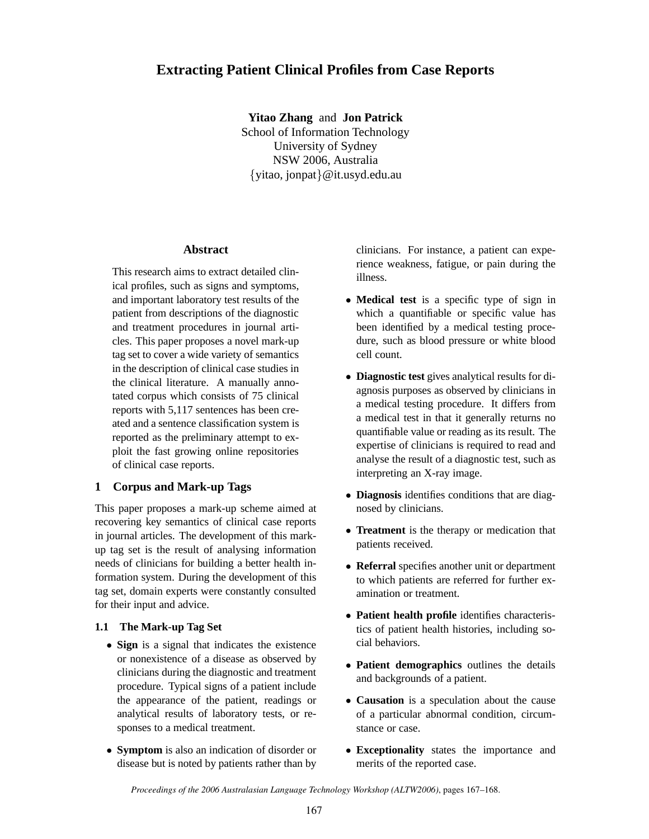# **Extracting Patient Clinical Profiles from Case Reports**

**Yitao Zhang** and **Jon Patrick** School of Information Technology University of Sydney NSW 2006, Australia {yitao, jonpat}@it.usyd.edu.au

#### **Abstract**

This research aims to extract detailed clinical profiles, such as signs and symptoms, and important laboratory test results of the patient from descriptions of the diagnostic and treatment procedures in journal articles. This paper proposes a novel mark-up tag set to cover a wide variety of semantics in the description of clinical case studies in the clinical literature. A manually annotated corpus which consists of 75 clinical reports with 5,117 sentences has been created and a sentence classification system is reported as the preliminary attempt to exploit the fast growing online repositories of clinical case reports.

## **1 Corpus and Mark-up Tags**

This paper proposes a mark-up scheme aimed at recovering key semantics of clinical case reports in journal articles. The development of this markup tag set is the result of analysing information needs of clinicians for building a better health information system. During the development of this tag set, domain experts were constantly consulted for their input and advice.

#### **1.1 The Mark-up Tag Set**

- **Sign** is a signal that indicates the existence or nonexistence of a disease as observed by clinicians during the diagnostic and treatment procedure. Typical signs of a patient include the appearance of the patient, readings or analytical results of laboratory tests, or responses to a medical treatment.
- **Symptom** is also an indication of disorder or disease but is noted by patients rather than by

clinicians. For instance, a patient can experience weakness, fatigue, or pain during the illness.

- **Medical test** is a specific type of sign in which a quantifiable or specific value has been identified by a medical testing procedure, such as blood pressure or white blood cell count.
- **Diagnostic test** gives analytical results for diagnosis purposes as observed by clinicians in a medical testing procedure. It differs from a medical test in that it generally returns no quantifiable value or reading as its result. The expertise of clinicians is required to read and analyse the result of a diagnostic test, such as interpreting an X-ray image.
- **Diagnosis** identifies conditions that are diagnosed by clinicians.
- **Treatment** is the therapy or medication that patients received.
- **Referral** specifies another unit or department to which patients are referred for further examination or treatment.
- **Patient health profile** identifies characteristics of patient health histories, including social behaviors.
- **Patient demographics** outlines the details and backgrounds of a patient.
- **Causation** is a speculation about the cause of a particular abnormal condition, circumstance or case.
- **Exceptionality** states the importance and merits of the reported case.

*Proceedings of the 2006 Australasian Language Technology Workshop (ALTW2006)*, pages 167–168.